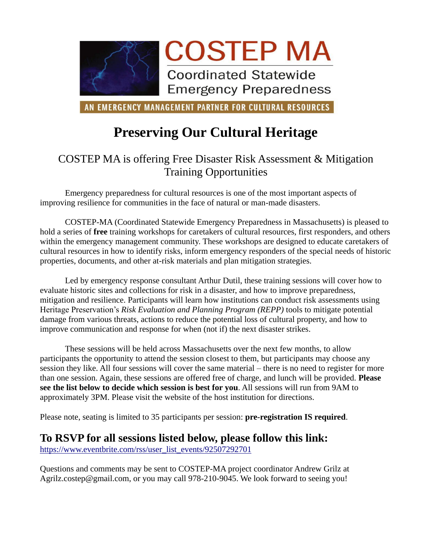

AN EMERGENCY MANAGEMENT PARTNER FOR CULTURAL RESOURCES

# **Preserving Our Cultural Heritage**

## COSTEP MA is offering Free Disaster Risk Assessment & Mitigation Training Opportunities

Emergency preparedness for cultural resources is one of the most important aspects of improving resilience for communities in the face of natural or man-made disasters.

COSTEP-MA (Coordinated Statewide Emergency Preparedness in Massachusetts) is pleased to hold a series of **free** training workshops for caretakers of cultural resources, first responders, and others within the emergency management community. These workshops are designed to educate caretakers of cultural resources in how to identify risks, inform emergency responders of the special needs of historic properties, documents, and other at-risk materials and plan mitigation strategies.

Led by emergency response consultant Arthur Dutil, these training sessions will cover how to evaluate historic sites and collections for risk in a disaster, and how to improve preparedness, mitigation and resilience. Participants will learn how institutions can conduct risk assessments using Heritage Preservation's *Risk Evaluation and Planning Program (REPP)* tools to mitigate potential damage from various threats, actions to reduce the potential loss of cultural property, and how to improve communication and response for when (not if) the next disaster strikes.

These sessions will be held across Massachusetts over the next few months, to allow participants the opportunity to attend the session closest to them, but participants may choose any session they like. All four sessions will cover the same material – there is no need to register for more than one session. Again, these sessions are offered free of charge, and lunch will be provided. **Please see the list below to decide which session is best for you**. All sessions will run from 9AM to approximately 3PM. Please visit the website of the host institution for directions.

Please note, seating is limited to 35 participants per session: **pre-registration IS required**.

### **To RSVP for all sessions listed below, please follow this link:**

[https://www.eventbrite.com/rss/user\\_list\\_events/92507292701](https://www.eventbrite.com/rss/user_list_events/92507292701)

Questions and comments may be sent to COSTEP-MA project coordinator Andrew Grilz at Agrilz.costep@gmail.com, or you may call 978-210-9045. We look forward to seeing you!